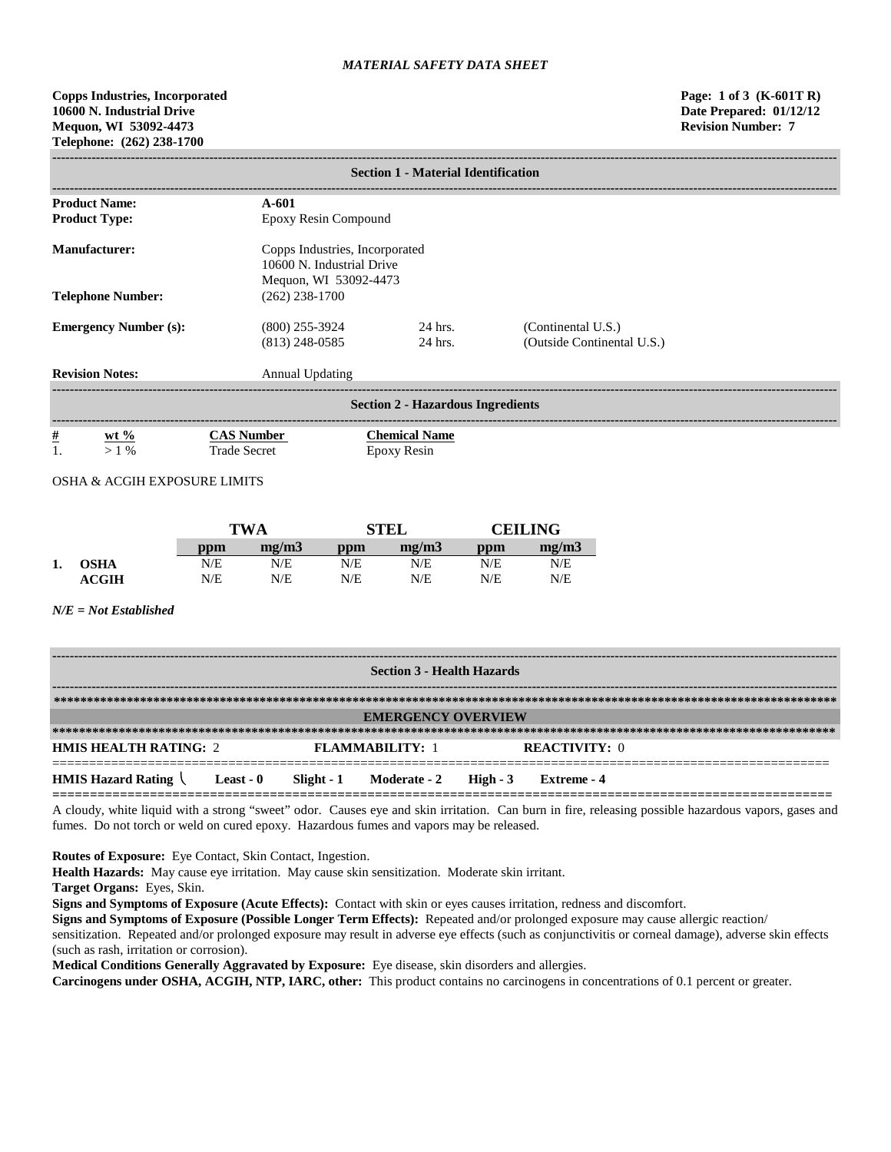**Copps Industries, Incorporated Page: 1 of 3 (K-601T R) 10600 N. Industrial Drive Date Prepared: 01/12/12 Mequon, WI 53092-4473 Revision Number: 7 Telephone: (262) 238-1700**

| <b>Section 1 - Material Identification</b>   |                                          |                                                             |                                                  |  |  |  |
|----------------------------------------------|------------------------------------------|-------------------------------------------------------------|--------------------------------------------------|--|--|--|
| <b>Product Name:</b>                         | $A - 601$                                |                                                             |                                                  |  |  |  |
| <b>Product Type:</b>                         | Epoxy Resin Compound                     |                                                             |                                                  |  |  |  |
| <b>Manufacturer:</b>                         | Mequon, WI 53092-4473                    | Copps Industries, Incorporated<br>10600 N. Industrial Drive |                                                  |  |  |  |
| <b>Telephone Number:</b>                     | $(262)$ 238-1700                         |                                                             |                                                  |  |  |  |
| <b>Emergency Number (s):</b>                 | $(800)$ 255-3924<br>$(813)$ 248-0585     | 24 hrs.<br>24 hrs.                                          | (Continental U.S.)<br>(Outside Continental U.S.) |  |  |  |
| <b>Revision Notes:</b>                       | <b>Annual Updating</b>                   |                                                             |                                                  |  |  |  |
| <b>Section 2 - Hazardous Ingredients</b>     |                                          |                                                             |                                                  |  |  |  |
| $\frac{\#}{1}$<br>wt $\frac{6}{6}$<br>$>1\%$ | <b>CAS Number</b><br><b>Trade Secret</b> | <b>Chemical Name</b><br>Epoxy Resin                         |                                                  |  |  |  |

OSHA & ACGIH EXPOSURE LIMITS

|    |                  |     | <b>TWA</b> |     | <b>STEL</b> |     | <b>CEILING</b> |  |
|----|------------------|-----|------------|-----|-------------|-----|----------------|--|
|    |                  | ppm | mg/m3      | ppm | mg/m3       | ppm | mg/m3          |  |
| 1. | <b>OSHA</b>      | N/E | N/E        | N/E | N/E         | N/E | N/E            |  |
|    | $\mathbf{ACGIH}$ | N/E | N/E        | N/E | N/E         | N/E | N/E            |  |

*N/E = Not Established*

| <b>Section 3 - Health Hazards</b>                          |  |  |                                  |  |                      |  |
|------------------------------------------------------------|--|--|----------------------------------|--|----------------------|--|
|                                                            |  |  |                                  |  |                      |  |
|                                                            |  |  | <b>EMERGENCY OVERVIEW</b>        |  |                      |  |
|                                                            |  |  |                                  |  |                      |  |
| <b>HMIS HEALTH RATING: 2</b>                               |  |  | <b>FLAMMARILITY: 1</b>           |  | <b>REACTIVITY: 0</b> |  |
| <b>HMIS Hazard Rating <math>\setminus</math> Least - 0</b> |  |  | Slight - 1 Moderate - 2 High - 3 |  | Extreme - 4          |  |

A cloudy, white liquid with a strong "sweet" odor. Causes eye and skin irritation. Can burn in fire, releasing possible hazardous vapors, gases and fumes. Do not torch or weld on cured epoxy. Hazardous fumes and vapors may be released.

**Routes of Exposure:** Eye Contact, Skin Contact, Ingestion.

**Health Hazards:** May cause eye irritation. May cause skin sensitization. Moderate skin irritant.

**Target Organs:** Eyes, Skin.

**Signs and Symptoms of Exposure (Acute Effects):** Contact with skin or eyes causes irritation, redness and discomfort.

**Signs and Symptoms of Exposure (Possible Longer Term Effects):** Repeated and/or prolonged exposure may cause allergic reaction/

sensitization. Repeated and/or prolonged exposure may result in adverse eye effects (such as conjunctivitis or corneal damage), adverse skin effects (such as rash, irritation or corrosion).

**Medical Conditions Generally Aggravated by Exposure:** Eye disease, skin disorders and allergies.

**Carcinogens under OSHA, ACGIH, NTP, IARC, other:** This product contains no carcinogens in concentrations of 0.1 percent or greater.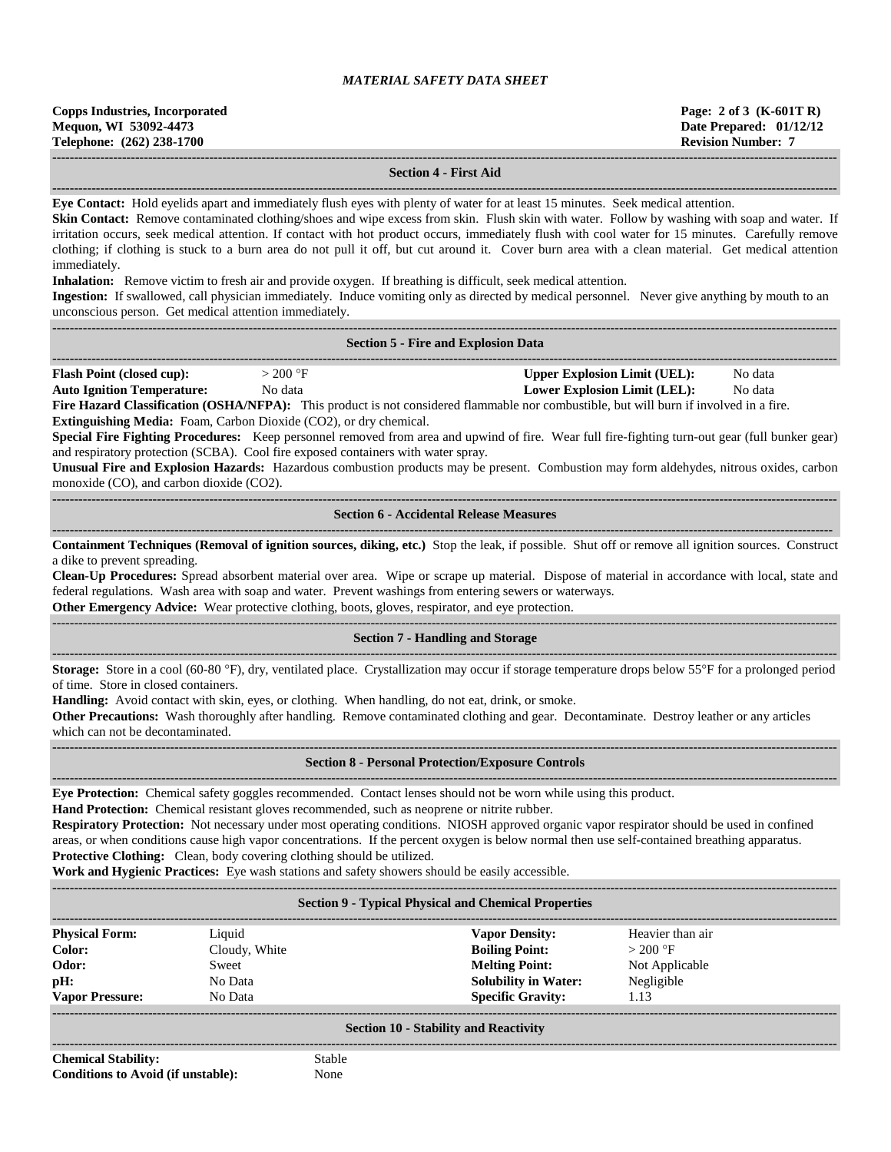### **------------------------------------------------------------------------------------------------------------------------------------------------------------------------------------ Section 4 - First Aid**

**------------------------------------------------------------------------------------------------------------------------------------------------------------------------------------**

**Eye Contact:** Hold eyelids apart and immediately flush eyes with plenty of water for at least 15 minutes. Seek medical attention.

**Skin Contact:** Remove contaminated clothing/shoes and wipe excess from skin. Flush skin with water. Follow by washing with soap and water. If irritation occurs, seek medical attention. If contact with hot product occurs, immediately flush with cool water for 15 minutes. Carefully remove clothing; if clothing is stuck to a burn area do not pull it off, but cut around it. Cover burn area with a clean material. Get medical attention immediately.

**Inhalation:** Remove victim to fresh air and provide oxygen. If breathing is difficult, seek medical attention.

**Ingestion:** If swallowed, call physician immediately. Induce vomiting only as directed by medical personnel. Never give anything by mouth to an unconscious person. Get medical attention immediately.

|                                                                                                                                                                                                                                                                                                                                                                                                                                                                                                                                                                                                                                                                                                                                                                                                                                                 |                                                                        | <b>Section 5 - Fire and Explosion Data</b>                                                                                                                                                                                                                                                                                                                                                                                                                                                                                                                                                                      |  |  |  |  |  |  |
|-------------------------------------------------------------------------------------------------------------------------------------------------------------------------------------------------------------------------------------------------------------------------------------------------------------------------------------------------------------------------------------------------------------------------------------------------------------------------------------------------------------------------------------------------------------------------------------------------------------------------------------------------------------------------------------------------------------------------------------------------------------------------------------------------------------------------------------------------|------------------------------------------------------------------------|-----------------------------------------------------------------------------------------------------------------------------------------------------------------------------------------------------------------------------------------------------------------------------------------------------------------------------------------------------------------------------------------------------------------------------------------------------------------------------------------------------------------------------------------------------------------------------------------------------------------|--|--|--|--|--|--|
| <b>Flash Point (closed cup):</b><br>$>200$ °F<br><b>Upper Explosion Limit (UEL):</b><br>No data<br><b>Auto Ignition Temperature:</b><br>No data<br><b>Lower Explosion Limit (LEL):</b><br>No data<br>Fire Hazard Classification (OSHA/NFPA): This product is not considered flammable nor combustible, but will burn if involved in a fire.<br>Extinguishing Media: Foam, Carbon Dioxide (CO2), or dry chemical.<br>Special Fire Fighting Procedures: Keep personnel removed from area and upwind of fire. Wear full fire-fighting turn-out gear (full bunker gear)<br>and respiratory protection (SCBA). Cool fire exposed containers with water spray.<br>Unusual Fire and Explosion Hazards: Hazardous combustion products may be present. Combustion may form aldehydes, nitrous oxides, carbon<br>monoxide (CO), and carbon dioxide (CO2). |                                                                        |                                                                                                                                                                                                                                                                                                                                                                                                                                                                                                                                                                                                                 |  |  |  |  |  |  |
| <b>Section 6 - Accidental Release Measures</b>                                                                                                                                                                                                                                                                                                                                                                                                                                                                                                                                                                                                                                                                                                                                                                                                  |                                                                        |                                                                                                                                                                                                                                                                                                                                                                                                                                                                                                                                                                                                                 |  |  |  |  |  |  |
| Containment Techniques (Removal of ignition sources, diking, etc.) Stop the leak, if possible. Shut off or remove all ignition sources. Construct<br>a dike to prevent spreading.<br>Clean-Up Procedures: Spread absorbent material over area. Wipe or scrape up material. Dispose of material in accordance with local, state and<br>federal regulations. Wash area with soap and water. Prevent washings from entering sewers or waterways.<br>Other Emergency Advice: Wear protective clothing, boots, gloves, respirator, and eye protection.                                                                                                                                                                                                                                                                                               |                                                                        |                                                                                                                                                                                                                                                                                                                                                                                                                                                                                                                                                                                                                 |  |  |  |  |  |  |
|                                                                                                                                                                                                                                                                                                                                                                                                                                                                                                                                                                                                                                                                                                                                                                                                                                                 |                                                                        | <b>Section 7 - Handling and Storage</b>                                                                                                                                                                                                                                                                                                                                                                                                                                                                                                                                                                         |  |  |  |  |  |  |
| Storage: Store in a cool (60-80 °F), dry, ventilated place. Crystallization may occur if storage temperature drops below 55°F for a prolonged period<br>of time. Store in closed containers.<br>Handling: Avoid contact with skin, eyes, or clothing. When handling, do not eat, drink, or smoke.<br>Other Precautions: Wash thoroughly after handling. Remove contaminated clothing and gear. Decontaminate. Destroy leather or any articles<br>which can not be decontaminated.                                                                                                                                                                                                                                                                                                                                                               |                                                                        |                                                                                                                                                                                                                                                                                                                                                                                                                                                                                                                                                                                                                 |  |  |  |  |  |  |
|                                                                                                                                                                                                                                                                                                                                                                                                                                                                                                                                                                                                                                                                                                                                                                                                                                                 |                                                                        | <b>Section 8 - Personal Protection/Exposure Controls</b>                                                                                                                                                                                                                                                                                                                                                                                                                                                                                                                                                        |  |  |  |  |  |  |
|                                                                                                                                                                                                                                                                                                                                                                                                                                                                                                                                                                                                                                                                                                                                                                                                                                                 | Protective Clothing: Clean, body covering clothing should be utilized. | Eye Protection: Chemical safety goggles recommended. Contact lenses should not be worn while using this product.<br>Hand Protection: Chemical resistant gloves recommended, such as neoprene or nitrite rubber.<br>Respiratory Protection: Not necessary under most operating conditions. NIOSH approved organic vapor respirator should be used in confined<br>areas, or when conditions cause high vapor concentrations. If the percent oxygen is below normal then use self-contained breathing apparatus.<br>Work and Hygienic Practices: Eye wash stations and safety showers should be easily accessible. |  |  |  |  |  |  |
|                                                                                                                                                                                                                                                                                                                                                                                                                                                                                                                                                                                                                                                                                                                                                                                                                                                 |                                                                        | <b>Section 9 - Typical Physical and Chemical Properties</b>                                                                                                                                                                                                                                                                                                                                                                                                                                                                                                                                                     |  |  |  |  |  |  |
| <b>Physical Form:</b><br><b>Vapor Density:</b><br>Heavier than air<br>Liquid<br><b>Boiling Point:</b><br>Color:<br>Cloudy, White<br>$>$ 200 °F<br><b>Melting Point:</b><br>Odor:<br>Not Applicable<br>Sweet                                                                                                                                                                                                                                                                                                                                                                                                                                                                                                                                                                                                                                     |                                                                        |                                                                                                                                                                                                                                                                                                                                                                                                                                                                                                                                                                                                                 |  |  |  |  |  |  |

### **------------------------------------------------------------------------------------------------------------------------------------------------------------------------------------ Section 10 - Stability and Reactivity**

**------------------------------------------------------------------------------------------------------------------------------------------------------------------------------------**

**pH:** No Data **Solubility in Water:** Negligible **Vapor Pressure:** No Data **Specific Gravity:** 1.13

**Chemical Stability:** Stable **Conditions to Avoid (if unstable):** None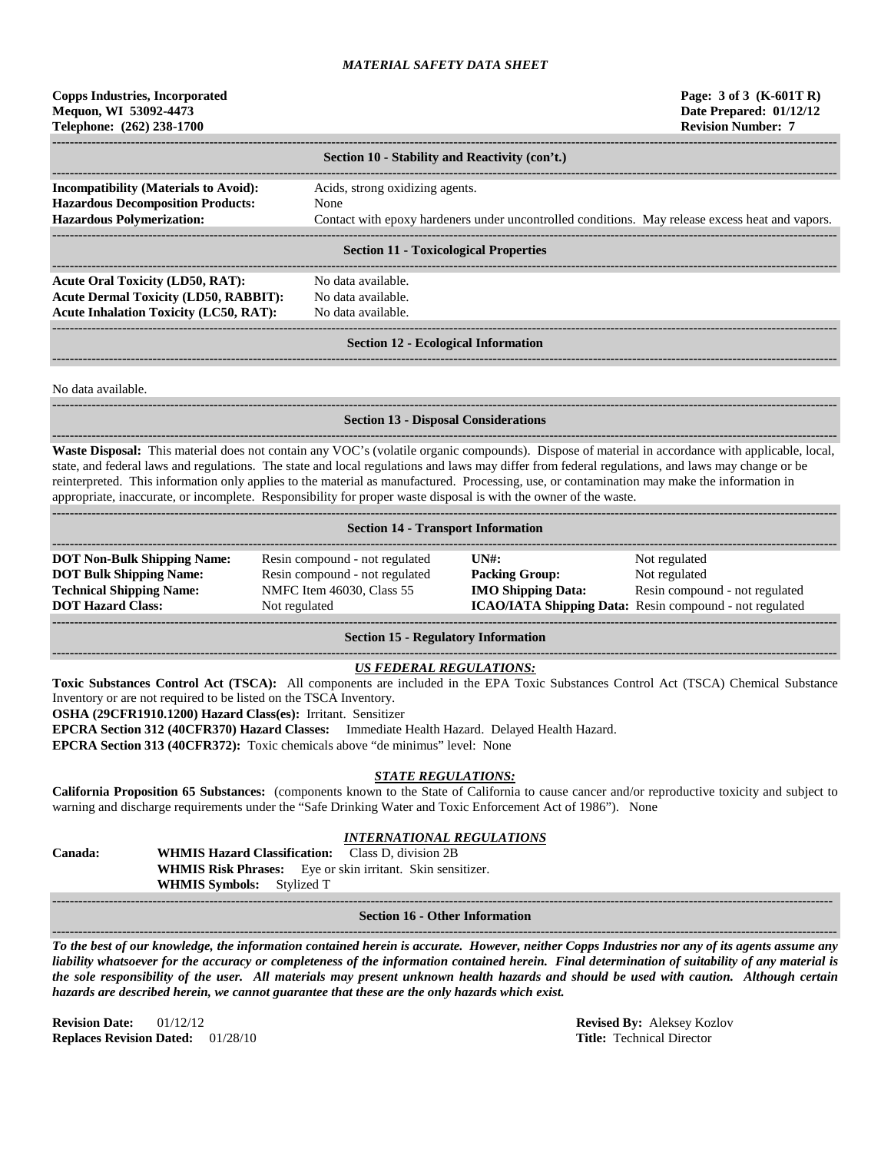## **Copps Industries, Incorporated Page: 3 of 3 (K-601T R) Mequon, WI 53092-4473 Date Prepared: 01/12/12 Telephone: (262) 238-1700 Revision Number: 7**

|                                                                                          | Section 10 - Stability and Reactivity (con't.)                                                  |  |  |  |  |
|------------------------------------------------------------------------------------------|-------------------------------------------------------------------------------------------------|--|--|--|--|
| <b>Incompatibility (Materials to Avoid):</b><br><b>Hazardous Decomposition Products:</b> | Acids, strong oxidizing agents.<br>None                                                         |  |  |  |  |
| <b>Hazardous Polymerization:</b>                                                         | Contact with epoxy hardeners under uncontrolled conditions. May release excess heat and vapors. |  |  |  |  |
| <b>Section 11 - Toxicological Properties</b>                                             |                                                                                                 |  |  |  |  |
| <b>Acute Oral Toxicity (LD50, RAT):</b><br><b>Acute Dermal Toxicity (LD50, RABBIT):</b>  | No data available.<br>No data available.                                                        |  |  |  |  |
|                                                                                          |                                                                                                 |  |  |  |  |

**Acute Inhalation Toxicity (LC50, RAT):** No data available.

------------------------------------------------------------------------------------------------------------------------------------------------------------------------------------ **Section 12 - Ecological Information ------------------------------------------------------------------------------------------------------------------------------------------------------------------------------------**

No data available.

# **------------------------------------------------------------------------------------------------------------------------------------------------------------------------------------**

### **Section 13 - Disposal Considerations**

**------------------------------------------------------------------------------------------------------------------------------------------------------------------------------------ Waste Disposal:** This material does not contain any VOC's (volatile organic compounds). Dispose of material in accordance with applicable, local, state, and federal laws and regulations. The state and local regulations and laws may differ from federal regulations, and laws may change or be reinterpreted. This information only applies to the material as manufactured. Processing, use, or contamination may make the information in appropriate, inaccurate, or incomplete. Responsibility for proper waste disposal is with the owner of the waste. **------------------------------------------------------------------------------------------------------------------------------------------------------------------------------------**

|  |  |  | <b>Section 14 - Transport Information</b> |
|--|--|--|-------------------------------------------|
|--|--|--|-------------------------------------------|

| <b>DOT Non-Bulk Shipping Name:</b> | Resin compound - not regulated | IINH:                     | Not regulated                                                  |
|------------------------------------|--------------------------------|---------------------------|----------------------------------------------------------------|
| <b>DOT Bulk Shipping Name:</b>     | Resin compound - not regulated | <b>Packing Group:</b>     | Not regulated                                                  |
| <b>Technical Shipping Name:</b>    | NMFC Item 46030, Class 55      | <b>IMO Shipping Data:</b> | Resin compound - not regulated                                 |
| <b>DOT Hazard Class:</b>           | Not regulated                  |                           | <b>ICAO/IATA Shipping Data:</b> Resin compound - not regulated |
|                                    |                                |                           |                                                                |

### **Section 15 - Regulatory Information**

### **------------------------------------------------------------------------------------------------------------------------------------------------------------------------------------** *US FEDERAL REGULATIONS:*

**Toxic Substances Control Act (TSCA):** All components are included in the EPA Toxic Substances Control Act (TSCA) Chemical Substance

Inventory or are not required to be listed on the TSCA Inventory.

**OSHA (29CFR1910.1200) Hazard Class(es):** Irritant. Sensitizer

**EPCRA Section 312 (40CFR370) Hazard Classes:** Immediate Health Hazard. Delayed Health Hazard.

**EPCRA Section 313 (40CFR372):** Toxic chemicals above "de minimus" level: None

# *STATE REGULATIONS:*

**California Proposition 65 Substances:** (components known to the State of California to cause cancer and/or reproductive toxicity and subject to warning and discharge requirements under the "Safe Drinking Water and Toxic Enforcement Act of 1986"). None

### *INTERNATIONAL REGULATIONS*

| <b>Canada:</b> | <b>WHMIS Hazard Classification:</b> Class D, division 2B          |  |  |
|----------------|-------------------------------------------------------------------|--|--|
|                | <b>WHMIS Risk Phrases:</b> Eye or skin irritant. Skin sensitizer. |  |  |
|                | <b>WHMIS Symbols:</b> Stylized T                                  |  |  |

**----------------------------------------------------------------------------------------------------------------------------------------------------------------------------------- Section 16 - Other Information ------------------------------------------------------------------------------------------------------------------------------------------------------------------------------------**

*To the best of our knowledge, the information contained herein is accurate. However, neither Copps Industries nor any of its agents assume any liability whatsoever for the accuracy or completeness of the information contained herein. Final determination of suitability of any material is the sole responsibility of the user. All materials may present unknown health hazards and should be used with caution. Although certain hazards are described herein, we cannot guarantee that these are the only hazards which exist.*

**Revision Date:** 01/12/12 **Revised By:** Aleksey Kozlov **Replaces Revision Dated:** 01/28/10 **Title:** Technical Director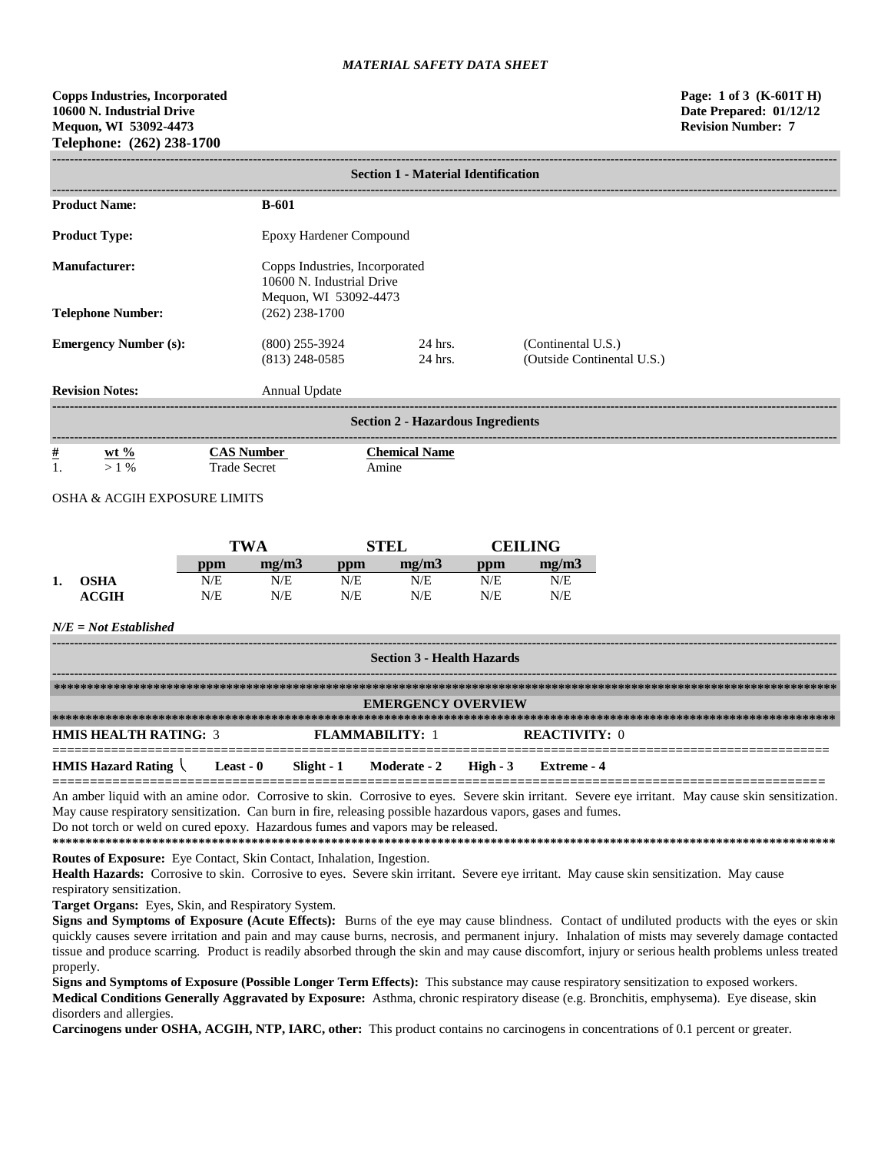| <b>Section 1 - Material Identification</b> |                                      |                                                             |                                                  |  |  |  |
|--------------------------------------------|--------------------------------------|-------------------------------------------------------------|--------------------------------------------------|--|--|--|
| <b>Product Name:</b>                       | <b>B-601</b>                         |                                                             |                                                  |  |  |  |
| <b>Product Type:</b>                       | Epoxy Hardener Compound              |                                                             |                                                  |  |  |  |
| <b>Manufacturer:</b>                       | Mequon, WI 53092-4473                | Copps Industries, Incorporated<br>10600 N. Industrial Drive |                                                  |  |  |  |
| <b>Telephone Number:</b>                   | $(262)$ 238-1700                     |                                                             |                                                  |  |  |  |
| <b>Emergency Number (s):</b>               | $(800)$ 255-3924<br>$(813)$ 248-0585 | 24 hrs.<br>24 hrs.                                          | (Continental U.S.)<br>(Outside Continental U.S.) |  |  |  |
| <b>Revision Notes:</b>                     | Annual Update                        |                                                             |                                                  |  |  |  |
| <b>Section 2 - Hazardous Ingredients</b>   |                                      |                                                             |                                                  |  |  |  |
| <u>#</u><br>$wt \%$<br>$>1\%$              | <b>CAS Number</b><br>Trade Secret    | <b>Chemical Name</b><br>Amine                               |                                                  |  |  |  |

OSHA & ACGIH EXPOSURE LIMITS

|                 |     | <b>TWA</b> |     | <b>TEL</b> |     | <b>CEILING</b> |  |
|-----------------|-----|------------|-----|------------|-----|----------------|--|
|                 | ppm | mg/m3      | ppm | me/m3      | ppm | mg/m3          |  |
| <br><b>OSHA</b> | N/E | N/E        | N/E | N/E        | N/E | N/E            |  |
| <b>ACGIH</b>    | N/E | N/E        | N/E | N/E        | N/E | N/E            |  |

*N/E = Not Established*

| <b>Section 3 - Health Hazards</b> |                  |  |                                    |  |                      |  |  |
|-----------------------------------|------------------|--|------------------------------------|--|----------------------|--|--|
|                                   |                  |  |                                    |  |                      |  |  |
|                                   |                  |  | <b>EMERGENCY OVERVIEW</b>          |  |                      |  |  |
|                                   |                  |  |                                    |  |                      |  |  |
| <b>HMIS HEALTH RATING: 3</b>      |                  |  | <b>FLAMMARILITY: 1</b>             |  | <b>REACTIVITY: 0</b> |  |  |
| <b>HMIS Hazard Rating</b>         | <b>Least - 0</b> |  | $Slight - 1$ Moderate - 2 High - 3 |  | Extreme - 4          |  |  |

An amber liquid with an amine odor. Corrosive to skin. Corrosive to eyes. Severe skin irritant. Severe eye irritant. May cause skin sensitization. May cause respiratory sensitization. Can burn in fire, releasing possible hazardous vapors, gases and fumes. Do not torch or weld on cured epoxy. Hazardous fumes and vapors may be released.

**\*\*\*\*\*\*\*\*\*\*\*\*\*\*\*\*\*\*\*\*\*\*\*\*\*\*\*\*\*\*\*\*\*\*\*\*\*\*\*\*\*\*\*\*\*\*\*\*\*\*\*\*\*\*\*\*\*\*\*\*\*\*\*\*\*\*\*\*\*\*\*\*\*\*\*\*\*\*\*\*\*\*\*\*\*\*\*\*\*\*\*\*\*\*\*\*\*\*\*\*\*\*\*\*\*\*\*\*\*\*\*\*\*\*\*\*\*\* Routes of Exposure:** Eye Contact, Skin Contact, Inhalation, Ingestion.

**Health Hazards:** Corrosive to skin. Corrosive to eyes. Severe skin irritant. Severe eye irritant. May cause skin sensitization. May cause respiratory sensitization.

**Target Organs:** Eyes, Skin, and Respiratory System.

**Signs and Symptoms of Exposure (Acute Effects):** Burns of the eye may cause blindness. Contact of undiluted products with the eyes or skin quickly causes severe irritation and pain and may cause burns, necrosis, and permanent injury. Inhalation of mists may severely damage contacted tissue and produce scarring. Product is readily absorbed through the skin and may cause discomfort, injury or serious health problems unless treated properly.

**Signs and Symptoms of Exposure (Possible Longer Term Effects):** This substance may cause respiratory sensitization to exposed workers. **Medical Conditions Generally Aggravated by Exposure:** Asthma, chronic respiratory disease (e.g. Bronchitis, emphysema). Eye disease, skin disorders and allergies.

**Carcinogens under OSHA, ACGIH, NTP, IARC, other:** This product contains no carcinogens in concentrations of 0.1 percent or greater.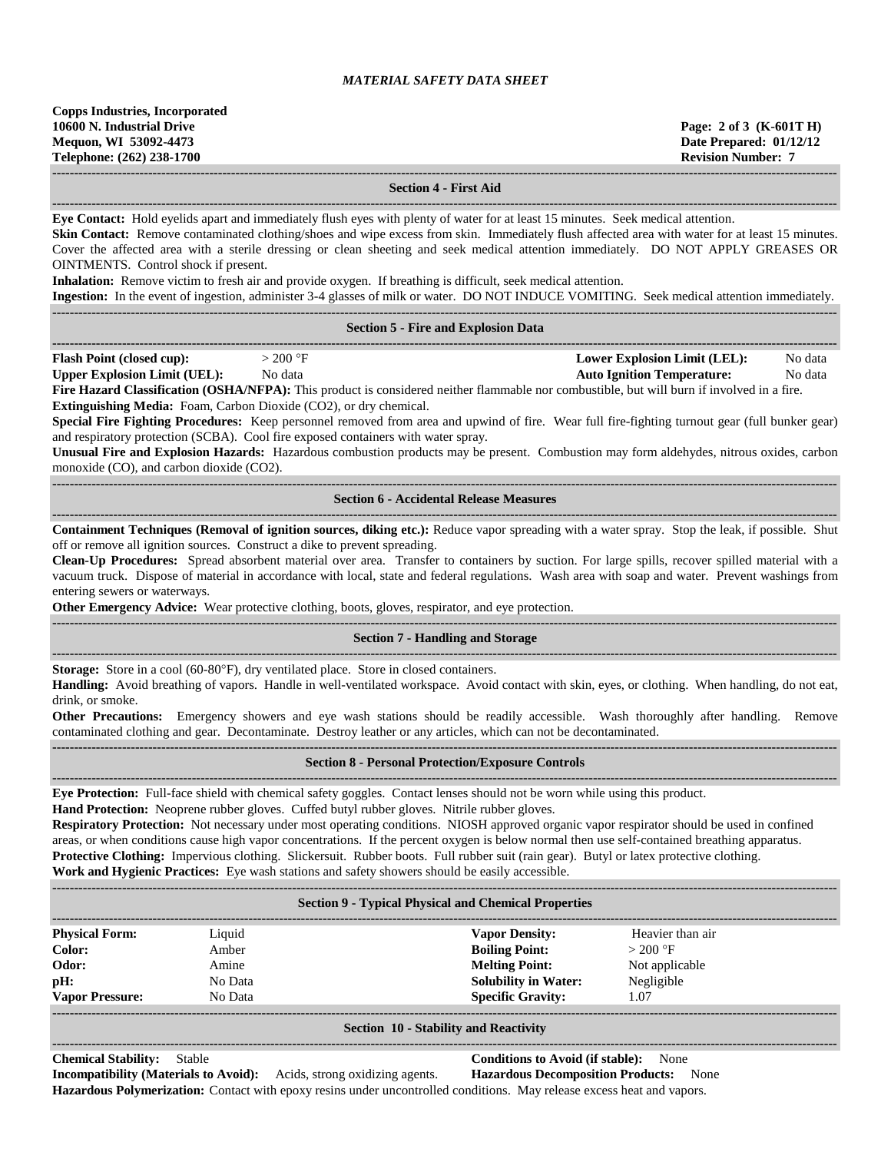**------------------------------------------------------------------------------------------------------------------------------------------------------------------------------------**

### **Section 4 - First Aid**

**------------------------------------------------------------------------------------------------------------------------------------------------------------------------------------ Eye Contact:** Hold eyelids apart and immediately flush eyes with plenty of water for at least 15 minutes. Seek medical attention.

**Skin Contact:** Remove contaminated clothing/shoes and wipe excess from skin. Immediately flush affected area with water for at least 15 minutes. Cover the affected area with a sterile dressing or clean sheeting and seek medical attention immediately. DO NOT APPLY GREASES OR OINTMENTS. Control shock if present.

**Inhalation:** Remove victim to fresh air and provide oxygen. If breathing is difficult, seek medical attention.

**Ingestion:** In the event of ingestion, administer 3-4 glasses of milk or water. DO NOT INDUCE VOMITING. Seek medical attention immediately.

|                                                                          | <b>Ingestion:</b> In the event of ingestion, administer 3-4 glasses of milk or water. DO NOT INDUCE VOMITING. Seek medical attention immediately. |  |  |                                     |         |  |  |  |
|--------------------------------------------------------------------------|---------------------------------------------------------------------------------------------------------------------------------------------------|--|--|-------------------------------------|---------|--|--|--|
|                                                                          |                                                                                                                                                   |  |  |                                     |         |  |  |  |
| <b>Section 5 - Fire and Explosion Data</b>                               |                                                                                                                                                   |  |  |                                     |         |  |  |  |
|                                                                          |                                                                                                                                                   |  |  |                                     |         |  |  |  |
| <b>Flash Point (closed cup):</b>                                         | $>200$ °F                                                                                                                                         |  |  | <b>Lower Explosion Limit (LEL):</b> | No data |  |  |  |
| <b>Upper Explosion Limit (UEL):</b>                                      | No data                                                                                                                                           |  |  | <b>Auto Ignition Temperature:</b>   | No data |  |  |  |
|                                                                          | Fire Hazard Classification (OSHA/NFPA): This product is considered neither flammable nor combustible, but will burn if involved in a fire.        |  |  |                                     |         |  |  |  |
| <b>Extinguishing Media:</b> Foam, Carbon Dioxide (CO2), or dry chemical. |                                                                                                                                                   |  |  |                                     |         |  |  |  |
|                                                                          | Special Fire Fighting Procedures: Keep personnel removed from area and upwind of fire. Wear full fire-fighting turnout gear (full bunker gear)    |  |  |                                     |         |  |  |  |
|                                                                          | and respiratory protection (SCBA). Cool fire exposed containers with water spray.                                                                 |  |  |                                     |         |  |  |  |

**Unusual Fire and Explosion Hazards:** Hazardous combustion products may be present. Combustion may form aldehydes, nitrous oxides, carbon monoxide (CO), and carbon dioxide (CO2).

### **------------------------------------------------------------------------------------------------------------------------------------------------------------------------------------ Section 6 - Accidental Release Measures**

**------------------------------------------------------------------------------------------------------------------------------------------------------------------------------------ Containment Techniques (Removal of ignition sources, diking etc.):** Reduce vapor spreading with a water spray. Stop the leak, if possible. Shut off or remove all ignition sources. Construct a dike to prevent spreading.

**Clean-Up Procedures:** Spread absorbent material over area. Transfer to containers by suction. For large spills, recover spilled material with a vacuum truck. Dispose of material in accordance with local, state and federal regulations. Wash area with soap and water. Prevent washings from entering sewers or waterways.

**Other Emergency Advice:** Wear protective clothing, boots, gloves, respirator, and eye protection. **------------------------------------------------------------------------------------------------------------------------------------------------------------------------------------**

### **Section 7 - Handling and Storage**

**------------------------------------------------------------------------------------------------------------------------------------------------------------------------------------ Storage:** Store in a cool (60-80°F), dry ventilated place. Store in closed containers.

**Handling:** Avoid breathing of vapors. Handle in well-ventilated workspace. Avoid contact with skin, eyes, or clothing. When handling, do not eat, drink, or smoke.

**Other Precautions:** Emergency showers and eye wash stations should be readily accessible. Wash thoroughly after handling. Remove contaminated clothing and gear. Decontaminate. Destroy leather or any articles, which can not be decontaminated.

### **Section 8 - Personal Protection/Exposure Controls**

**------------------------------------------------------------------------------------------------------------------------------------------------------------------------------------ Eye Protection:** Full-face shield with chemical safety goggles. Contact lenses should not be worn while using this product.

**------------------------------------------------------------------------------------------------------------------------------------------------------------------------------------**

**Hand Protection:** Neoprene rubber gloves. Cuffed butyl rubber gloves. Nitrile rubber gloves. **Respiratory Protection:** Not necessary under most operating conditions. NIOSH approved organic vapor respirator should be used in confined areas, or when conditions cause high vapor concentrations. If the percent oxygen is below normal then use self-contained breathing apparatus. **Protective Clothing:** Impervious clothing. Slickersuit. Rubber boots. Full rubber suit (rain gear). Butyl or latex protective clothing.

**Work and Hygienic Practices:** Eye wash stations and safety showers should be easily accessible.

**------------------------------------------------------------------------------------------------------------------------------------------------------------------------------------**

| <b>Section 9 - Typical Physical and Chemical Properties</b> |         |                             |                  |
|-------------------------------------------------------------|---------|-----------------------------|------------------|
| <b>Physical Form:</b>                                       | Liquid  | <b>Vapor Density:</b>       | Heavier than air |
| Color:                                                      | Amber   | <b>Boiling Point:</b>       | $>200$ °F        |
| Odor:                                                       | Amine   | <b>Melting Point:</b>       | Not applicable   |
| pH:                                                         | No Data | <b>Solubility in Water:</b> | Negligible       |
| <b>Vapor Pressure:</b>                                      | No Data | <b>Specific Gravity:</b>    | 1.07             |
|                                                             |         |                             |                  |

#### **Section 10 - Stability and Reactivity**  $-1\leq i\leq n-1\leq n-1\leq n-1\leq n-1\leq n-1\leq n-1\leq n-1\leq n-1\leq n-1\leq n-1\leq n-1\leq n-1\leq n-1\leq n-1\leq n-1\leq n-1\leq n-1\leq n-1\leq n-1\leq n-1\leq n-1\leq n-1\leq n-1\leq n-1\leq n-1\leq n-1\leq n-1\leq n-1\leq n-1\leq n-1\leq n-1\leq n-1\leq n-1\leq n-1\leq n-1\leq n$

**Chemical Stability:** Stable **Conditions to Avoid (if stable):** None **Incompatibility (Materials to Avoid):** Acids, strong oxidizing agents. **Hazardous Decomposition Products:** None **Hazardous Polymerization:** Contact with epoxy resins under uncontrolled conditions. May release excess heat and vapors.